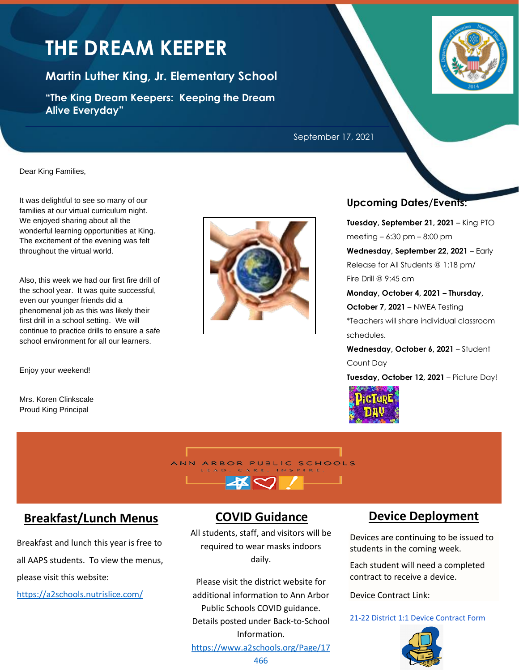# **THE DREAM KEEPER**

**Martin Luther King, Jr. Elementary School**

**"The King Dream Keepers: Keeping the Dream Alive Everyday"**



September 17, 2021

Dear King Families,

It was delightful to see so many of our families at our virtual curriculum night. We enjoyed sharing about all the wonderful learning opportunities at King. The excitement of the evening was felt throughout the virtual world.

Also, this week we had our first fire drill of the school year. It was quite successful, even our younger friends did a phenomenal job as this was likely their first drill in a school setting. We will continue to practice drills to ensure a safe school environment for all our learners.

Enjoy your weekend!

Mrs. Koren Clinkscale Proud King Principal



## **Upcoming Dates/Events:**

**Tuesday, September 21, 2021** – King PTO meeting – 6:30 pm – 8:00 pm **Wednesday, September 22, 2021** – Early Release for All Students @ 1:18 pm/ Fire Drill @ 9:45 am

**Monday, October 4, 2021 – Thursday, October 7, 2021** – NWEA Testing \*Teachers will share individual classroom schedules.

**Wednesday, October 6, 2021** – Student Count Day

**Tuesday, October 12, 2021** – Picture Day!





# **Breakfast/Lunch Menus**

Breakfast and lunch this year is free to all AAPS students. To view the menus, please visit this website:

<https://a2schools.nutrislice.com/>

# **COVID Guidance**

All students, staff, and visitors will be required to wear masks indoors daily.

Please visit the district website for additional information to Ann Arbor Public Schools COVID guidance. Details posted under Back-to-School Information.

### [https://www.a2schools.org/Page/17](https://www.a2schools.org/Page/17466)

# **Device Deployment**

Devices are continuing to be issued to students in the coming week.

Each student will need a completed contract to receive a device.

Device Contract Link:

[21-22 District 1:1 Device Contract Form](https://forms.gle/KTnAjFDo3oGKC3FX6)

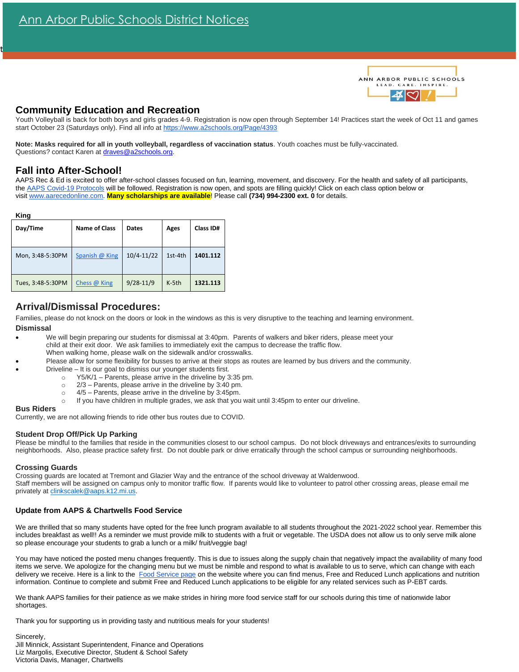

### **Community Education and Recreation**

Youth Volleyball is back for both boys and girls grades 4-9. Registration is now open through September 14! Practices start the week of Oct 11 and games start October 23 (Saturdays only). Find all info at <https://www.a2schools.org/Page/4393>

**Note: Masks required for all in youth volleyball, regardless of vaccination status**. Youth coaches must be fully-vaccinated. Questions? contact Karen at [draves@a2schools.org.](mailto:draves@a2schools.org)

### **Fall into After-School!**

AAPS Rec & Ed is excited to offer after-school classes focused on fun, learning, movement, and discovery. For the health and safety of all participants, the [AAPS Covid-19 Protocols](https://docs.google.com/document/d/1B1EhdyDjqtDnSICfJKPJafP3J6U6ph_H-_Fn1fmIsHg/edit) will be followed. Registration is now open, and spots are filling quickly! Click on each class option below or visit [www.aarecedonline.com.](http://www.aarecedonline.com/) **Many scholarships are available**! Please call **(734) 994-2300 ext. 0** for details.

#### **King**

t

| Day/Time          | <b>Name of Class</b> | <b>Dates</b>   | Ages    | Class ID# |
|-------------------|----------------------|----------------|---------|-----------|
| Mon, 3:48-5:30PM  | Spanish @ King       | $10/4 - 11/22$ | 1st-4th | 1401.112  |
| Tues, 3:48-5:30PM | Chess @ King         | $9/28 - 11/9$  | $K-5th$ | 1321.113  |

### **Arrival/Dismissal Procedures:**

Families, please do not knock on the doors or look in the windows as this is very disruptive to the teaching and learning environment. **Dismissal**

- We will begin preparing our students for dismissal at 3:40pm. Parents of walkers and biker riders, please meet your child at their exit door. We ask families to immediately exit the campus to decrease the traffic flow. When walking home, please walk on the sidewalk and/or crosswalks.
- Please allow for some flexibility for busses to arrive at their stops as routes are learned by bus drivers and the community.
- Driveline It is our goal to dismiss our younger students first.
	- $\degree$  Y5/K/1 Parents, please arrive in the driveline by 3:35 pm.
		- o 2/3 Parents, please arrive in the driveline by 3:40 pm.
	- o 4/5 Parents, please arrive in the driveline by 3:45pm.
	- If you have children in multiple grades, we ask that you wait until 3:45pm to enter our driveline.

#### **Bus Riders**

Currently, we are not allowing friends to ride other bus routes due to COVID.

#### **Student Drop Off/Pick Up Parking**

Please be mindful to the families that reside in the communities closest to our school campus. Do not block driveways and entrances/exits to surrounding neighborhoods. Also, please practice safety first. Do not double park or drive erratically through the school campus or surrounding neighborhoods.

#### **Crossing Guards**

Crossing guards are located at Tremont and Glazier Way and the entrance of the school driveway at Waldenwood. Staff members will be assigned on campus only to monitor traffic flow. If parents would like to volunteer to patrol other crossing areas, please email me privately a[t clinkscalek@aaps.k12.mi.us.](mailto:clinkscalek@aaps.k12.mi.us)

#### **Update from AAPS & Chartwells Food Service**

We are thrilled that so many students have opted for the free lunch program available to all students throughout the 2021-2022 school year. Remember this includes breakfast as well!! As a reminder we must provide milk to students with a fruit or vegetable. The USDA does not allow us to only serve milk alone so please encourage your students to grab a lunch or a milk/ fruit/veggie bag!

You may have noticed the posted menu changes frequently. This is due to issues along the supply chain that negatively impact the availability of many food items we serve. We apologize for the changing menu but we must be nimble and respond to what is available to us to serve, which can change with each delivery we receive. Here is a link to the [Food Service page](https://www.a2schools.org/domain/2311) on the website where you can find menus, Free and Reduced Lunch applications and nutrition information. Continue to complete and submit Free and Reduced Lunch applications to be eligible for any related services such as P-EBT cards.

We thank AAPS families for their patience as we make strides in hiring more food service staff for our schools during this time of nationwide labor shortages.

Thank you for supporting us in providing tasty and nutritious meals for your students!

Sincerely, Jill Minnick, Assistant Superintendent, Finance and Operations Liz Margolis, Executive Director, Student & School Safety Victoria Davis, Manager, Chartwells